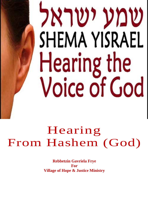# שמע ישראל **SHEMA YISRAEL** Hearing the **Voice of God**

## Hearing From Hashem (God)

**Rebbetzin Gavriela Frye** For **Village of Hope & Justice Ministry**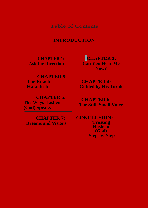Table of Contents

## **INTRODUCTION**

**CHAPTER 1: Ask for Direction**

**CHAPTER 5: The Ruach Hakodesh**

 **CHAPTER 5: The Ways Hashem (God) Speaks**

 **CHAPTER 7: Dreams and Visions**

**CHAPTER 2: Can You Hear Me Now?**

**CHAPTER 4: Guided by His Torah**

**CHAPTER 6: The Still, Small Voice**

 **CONCLUSION: Trusting Hashem (God) Step-by-Step**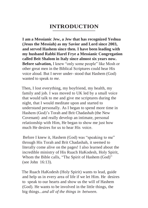## **INTRODUCTION**

**I am a Messianic Jew, a Jew that has recognized Yeshua (Jesus the Messiah) as my Savior and Lord since 2003, and served Hashem since then. I have been leading with my husband Rabbi Harel Frye a Messianic Congregation called Beit Shalom in Italy since almost six years now. Before salvation,** I knew "only some people" like Mosh or other great men in the Biblical Scriptures could hear His voice aloud. But I never under- stood that Hashem (God) wanted to speak *to me.*

Then, I lost everything, my boyfriend, my health, my family and job. I was moved to UK led by a small voice that would talk to me and give me scriptures during the night, that I would meditate upon and started to understand personally. As I began to spend more time in Hashem (God)'s Torah and Brit Chadashah (the New Covenant) and really develop an intimate, personal relationship with Him, He began to show me just how much He desires for us to hear His voice.

Before I knew it, Hashem (God) was "speaking to me" through His Torah and Brit Chadashah, it seemed to literally come alive on the pages! I also learned about the incredible ministry of His Ruach HaKodesh, Holy Spirit, Whom the Bible calls, "The Spirit of Hashem (God)" (see John 16:13).

The Ruach HaKodesh (Holy Spirit) wants to lead, guide and help us in every area of life if we let Him. He desires to speak to our hearts and show us the will of Hashem (God). He wants to be involved in the little things, the big things...*and all of the things in between.*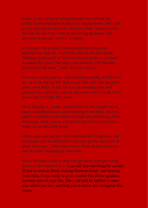You see, in our journey with Hashem (God), it's His will ance" (see John 14:26). He has an amazing plan and

down on the inside of you. I can tell you one thing for certain: If you're serious about seeking Hashem (God) and hearing from Him, if you really want to receive His divine guidance in every area of your life, The Lord will be faithful to meet you where you are...and help you to know and recognize His voice.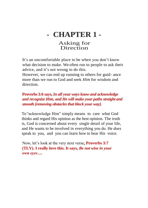## **- CHAPTER 1 -**

## Asking for Direction

It's an uncomfortable place to be when you don't know what decision to make. We often run to people to ask their advice, and it's not wrong to do this.

However, we can end up running to others for guid- ance more than we run to God and seek *Him* for wisdom and direction.

### **Proverbs 3:6 says,** *In all your ways know and acknowledge and recognize Him, and He will make your paths straight and smooth [removing obstacles that block your way].*

To "acknowledge Him" simply means to care what God thinks and regard His opinion as the best opinion. The truth is, God is concerned about every single detail of your life, and He wants to be involved in everything you do. He *does*  speak to you, and you can learn how to hear His voice.

Now, let's look at the very next verse**, Proverbs 3:7 (TLV). I really love this. It says,** *Be not wise in your own eyes….*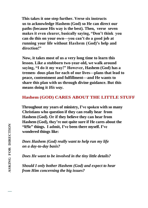**This takes it one step further. Verse six instructs us to acknowledge Hashem (God) so He can direct our paths (because His way is the best). Then, verse seven makes it even clearer, basically saying, "Don't think you can do this on your own—you can't do a good job at running your life without Hashem (God)'s help and direction!"**

**Now, it takes most of us a very long time to learn this lesson. Like a stubborn two-year-old, we walk around saying, "I do it my way!" However, Hashem (God) has a tremen- dous plan for each of our lives—plans that lead to peace, contentment and fulfillment—and He wants to share this plan with us through divine guidance. But this means doing it** *His way***.**

### **Hashem (GOD) CARES ABOUT THE LITTLE STUFF**

**Throughout my years of ministry, I've spoken with so many Christians who question if they can really hear from Hashem (God). Or if they believe they can hear from Hashem (God), they're not quite sure if He cares about the "li5le" things. I admit, I've been there myself. I've wondered things like:**

*Does Hashem (God) really want to help run my life on a day-to-day basis?*

*Does He want to be involved in the tiny little details?*

*Should I only bother Hashem (God) and expect to hear from Him concerning the big issues?*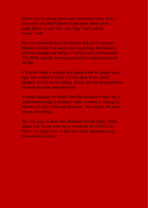Maybe you're asking these same questions today. If so, I can assure you that Hashem (God) cares about every single detail of your life—the "big" stuff *and* the "small" stuff.

We can sometimes have the mindset that we'll overload Hashem (God) if we ask for too much help. But Hashem (God)'s strength and ability is limitless and unfathomable! The Bible says He *never* grows tired or weary (see Isaiah 40:28).

I'll never forget a woman who came to me for prayer years ago. She wanted to know if it was okay if she asked Hashem (God) for two things. If not, she was prepared just to share the most important one.

It really touched my heart! And that incident helped me to understand people's mindsets when it comes to asking for Hashem (God)'s help and direction. The truth is, He cares about *everything*.

Do you want to hear what Hashem (God) really thinks about you? Look with me at Jeremiah 29:11-14 (TLV). Don't just gloss over it, but take a few moments to let these verses sink in: